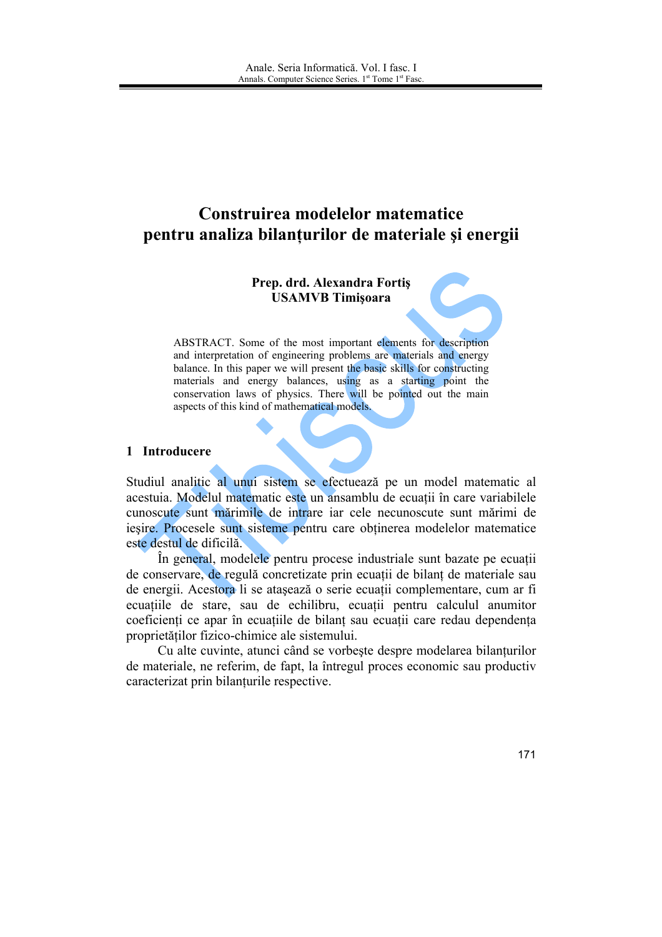# Construirea modelelor matematice pentru analiza bilanțurilor de materiale și energii

# Prep. drd. Alexandra Fortiş **USAMVB** Timișoara

ABSTRACT. Some of the most important elements for description and interpretation of engineering problems are materials and energy balance. In this paper we will present the basic skills for constructing materials and energy balances, using as a starting point the conservation laws of physics. There will be pointed out the main aspects of this kind of mathematical models.

# 1 Introducere

Studiul analitic al unui sistem se efectuează pe un model matematic al acestuia. Modelul matematic este un ansamblu de ecuatii în care variabilele cunoscute sunt mărimile de intrare iar cele necunoscute sunt mărimi de iesire. Procesele sunt sisteme pentru care obtinerea modelelor matematice este destul de dificilă.

În general, modelele pentru procese industriale sunt bazate pe ecuatii de conservare, de regulă concretizate prin ecuații de bilant de materiale sau de energii. Acestora li se atașează o serie ecuații complementare, cum ar fi ecuatiile de stare, sau de echilibru, ecuatii pentru calculul anumitor coeficienti ce apar în ecuatiile de bilant sau ecuatii care redau dependenta proprietătilor fizico-chimice ale sistemului.

Cu alte cuvinte, atunci când se vorbește despre modelarea bilanțurilor de materiale, ne referim, de fapt, la întregul proces economic sau productiv caracterizat prin bilanturile respective.

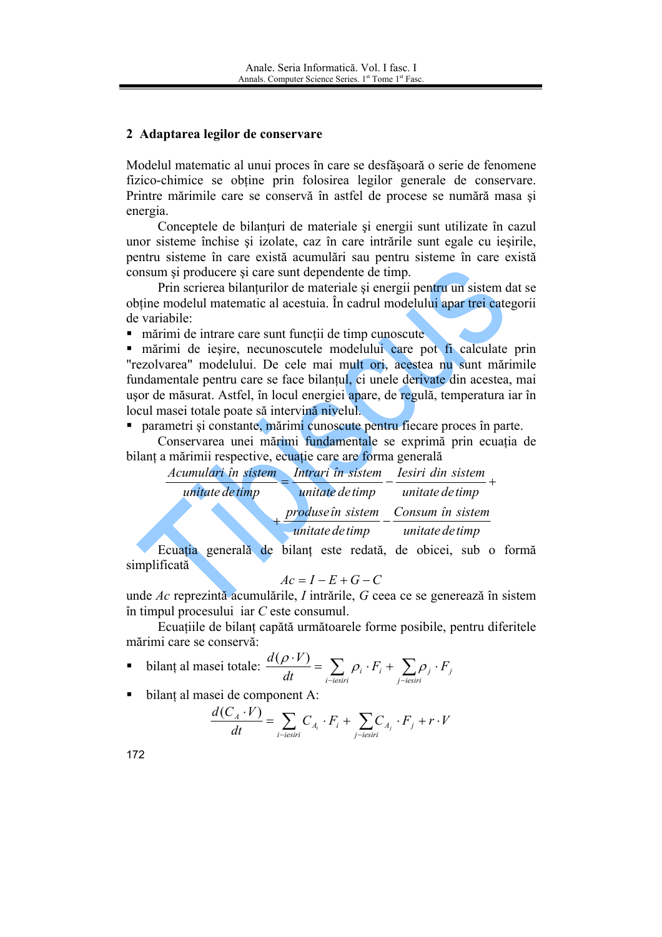# 2 Adaptarea legilor de conservare

Modelul matematic al unui proces în care se desfăsoară o serie de fenomene fizico-chimice se obtine prin folosirea legilor generale de conservare. Printre mărimile care se conservă în astfel de procese se numără masa și energia.

Conceptele de bilanturi de materiale si energii sunt utilizate în cazul unor sisteme închise și izolate, caz în care intrările sunt egale cu iesirile, pentru sisteme în care există acumulări sau pentru sisteme în care există consum și producere și care sunt dependente de timp.

Prin scrierea bilanturilor de materiale si energii pentru un sistem dat se obtine modelul matematic al acestuia. În cadrul modelului apar trei categorii de variabile:

mărimi de intrare care sunt funcții de timp cunoscute

mărimi de ieșire, necunoscutele modelului care pot fi calculate prin "rezolvarea" modelului. De cele mai mult ori, acestea nu sunt mărimile fundamentale pentru care se face bilantul, ci unele derivate din acestea, mai usor de măsurat. Astfel, în locul energiei apare, de regulă, temperatura iar în locul masei totale poate să intervină nivelul.

• parametri și constante, mărimi cunoscute pentru fiecare proces în parte.

Conservarea unei mărimi fundamentale se exprimă prin ecuația de bilant a mărimii respective, ecuatie care are forma generală

| Acumulari în sistem |                 | Intrari în sistem lesiri din sistem |
|---------------------|-----------------|-------------------------------------|
| unitate de timp     | unitate de timp | unitate de timp                     |
|                     |                 | produse în sistem Consum în sistem  |
|                     | unitate de timp | unitate de timp                     |
|                     |                 |                                     |

Ecuația generală de bilant este redată, de obicei, sub o formă simplificată

$$
Ac = I - E + G - C
$$

unde Ac reprezintă acumulările, I intrările, G ceea ce se generează în sistem în timpul procesului iar  $C$  este consumul.

Ecuațiile de bilanț capătă următoarele forme posibile, pentru diferitele mărimi care se conservă:

■ **bilanț al masei totale:** 
$$
\frac{d(\rho \cdot V)}{dt} = \sum_{i-iesiri} \rho_i \cdot F_i + \sum_{j-iesiri} \rho_j \cdot F_j
$$

bilant al masei de component A:  $\blacksquare$ 

$$
\frac{d(C_A \cdot V)}{dt} = \sum_{i-iesiri} C_{A_i} \cdot F_i + \sum_{j-iesiri} C_{A_j} \cdot F_j + r \cdot V
$$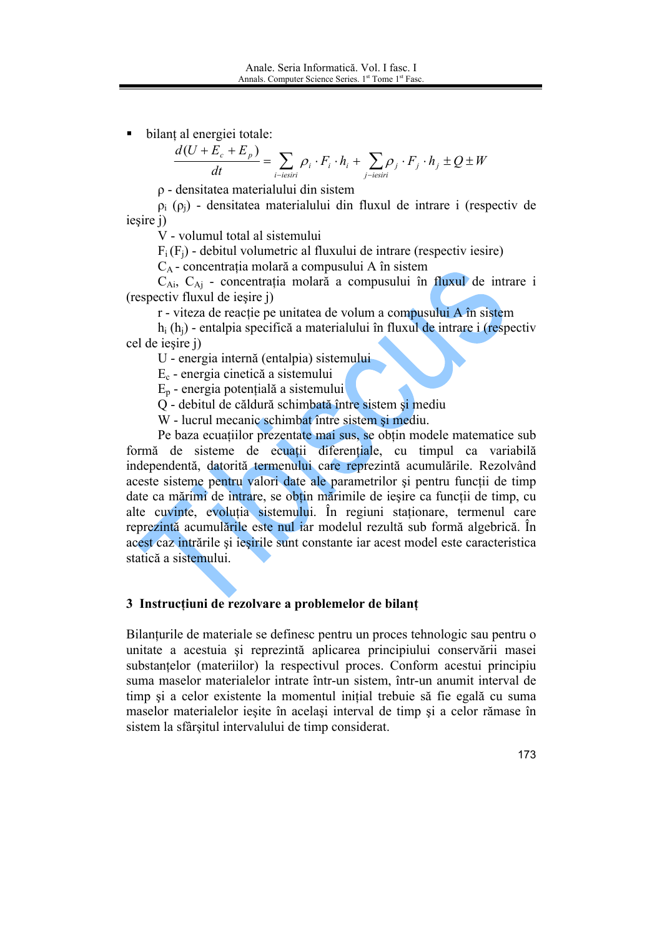bilanț al energiei totale:

$$
\frac{d(U + E_c + E_p)}{dt} = \sum_{i - i \text{esiri}} \rho_i \cdot F_i \cdot h_i + \sum_{j - i \text{esiri}} \rho_j \cdot F_j \cdot h_j \pm Q \pm W
$$

 $\rho$  - densitatea materialului din sistem

 $\rho_i$  ( $\rho_i$ ) - densitatea materialului din fluxul de intrare i (respectiv de iesire j)

V - volumul total al sistemului

 $F_i(F_i)$  - debitul volumetric al fluxului de intrare (respectiv iesire)

C<sub>A</sub> - concentrația molară a compusului A în sistem

 $C_{Ai}$ ,  $C_{Ai}$  - concentrația molară a compusului în fluxul de intrare i (respectiv fluxul de iesire j)

r - viteza de reactie pe unitatea de volum a compusului A în sistem

 $h_i(h_i)$  - entalpia specifică a materialului în fluxul de intrare i (respectiv cel de iesire j)

U - energia internă (entalpia) sistemului

 $E_c$  - energia cinetică a sistemului

 $E_p$  - energia potențială a sistemului

Q - debitul de căldură schimbată între sistem și mediu

W - lucrul mecanic schimbat între sistem și mediu.

Pe baza ecuatiilor prezentate mai sus, se obtin modele matematice sub formă de sisteme de ecuații diferențiale, cu timpul ca variabilă independentă, datorită termenului care reprezintă acumulările. Rezolvând aceste sisteme pentru valori date ale parametrilor și pentru funcții de timp date ca mărimi de intrare, se obtin mărimile de iesire ca functii de timp, cu alte cuvinte, evoluția sistemului. În regiuni staționare, termenul care reprezintă acumulările este nul iar modelul rezultă sub formă algebrică. În acest caz intrările și iesirile sunt constante iar acest model este caracteristica statică a sistemului.

#### 3 Instrucțiuni de rezolvare a problemelor de bilanț

Bilanturile de materiale se definesc pentru un proces tehnologic sau pentru o unitate a acestuia și reprezintă aplicarea principiului conservării masei substantelor (materiilor) la respectivul proces. Conform acestui principiu suma maselor materialelor intrate într-un sistem, într-un anumit interval de timp și a celor existente la momentul inițial trebuie să fie egală cu suma maselor materialelor iesite în același interval de timp și a celor rămase în sistem la sfârsitul intervalului de timp considerat.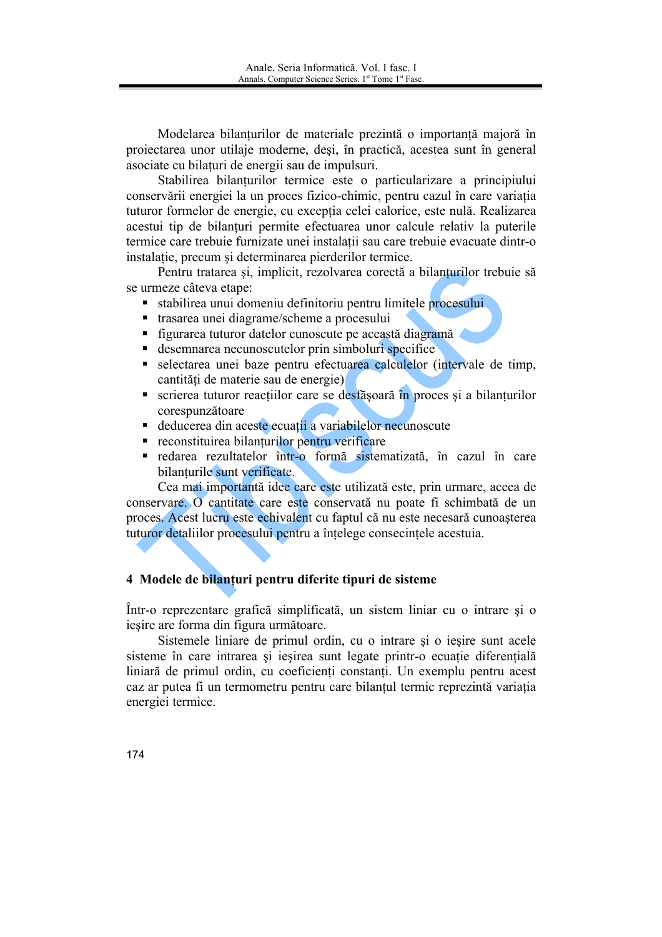Modelarea bilanturilor de materiale prezintă o importanță majoră în projectarea unor utilaje moderne, desi, în practică, acestea sunt în general asociate cu bilaturi de energii sau de impulsuri.

Stabilirea bilanturilor termice este o particularizare a principiului conservării energiei la un proces fizico-chimic, pentru cazul în care variatia tuturor formelor de energie, cu excepția celei calorice, este nulă. Realizarea acestui tip de bilanturi permite efectuarea unor calcule relativ la puterile termice care trebuie furnizate unei instalatii sau care trebuie evacuate dintr-o instalatie, precum și determinarea pierderilor termice.

Pentru tratarea și, implicit, rezolvarea corectă a bilanțurilor trebuie să se urmeze câteva etape:

- stabilirea unui domeniu definitoriu pentru limitele procesului
- trasarea unei diagrame/scheme a procesului  $\blacksquare$
- figurarea tuturor datelor cunoscute pe această diagramă
- desemnarea necunoscutelor prin simboluri specifice
- selectarea unei baze pentru efectuarea calculelor (intervale de timp. cantități de materie sau de energie)
- scrierea tuturor reacțiilor care se desfășoară în proces și a bilanturilor corespunzătoare
- deducerea din aceste ecuatii a variabilelor necunoscute
- reconstituirea bilanturilor pentru verificare
- redarea rezultatelor într-o formă sistematizată, în cazul în care bilanturile sunt verificate.

Cea mai importantă idee care este utilizată este, prin urmare, aceea de conservare. O cantitate care este conservată nu poate fi schimbată de un proces. Acest lucru este echivalent cu faptul că nu este necesară cunoasterea tuturor detaliilor procesului pentru a întelege consecintele acestuia.

# 4 Modele de bilanturi pentru diferite tipuri de sisteme

Într-o reprezentare grafică simplificată, un sistem liniar cu o intrare și o iesire are forma din figura următoare.

Sistemele liniare de primul ordin, cu o intrare si o iesire sunt acele sisteme în care intrarea și ieșirea sunt legate printr-o ecuație diferențială liniară de primul ordin, cu coeficienti constanti. Un exemplu pentru acest caz ar putea fi un termometru pentru care bilanțul termic reprezintă variația energiei termice.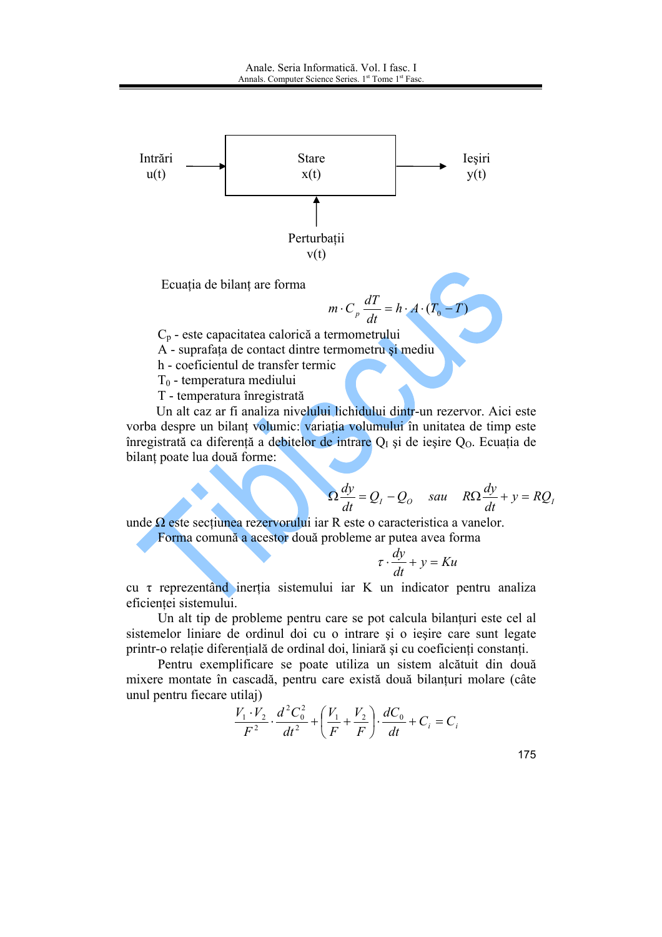

Ecuația de bilanț are forma

$$
m \cdot C_p \frac{dT}{dt} = h \cdot A \cdot (T_0 - T)
$$

 $C_p$  - este capacitatea calorică a termometrului

- A suprafața de contact dintre termometru și mediu
- h coeficientul de transfer termic
- $T_0$  temperatura mediului
- T temperatura înregistrată

Un alt caz ar fi analiza nivelului lichidului dintr-un rezervor. Aici este vorba despre un bilant volumic: variatia volumului în unitatea de timp este înregistrată ca diferență a debitelor de intrare  $Q<sub>I</sub>$  și de ieșire  $Q<sub>O</sub>$ . Ecuația de bilanț poate lua două forme:

$$
\Omega \frac{dy}{dt} = Q_I - Q_O \quad \text{sau} \quad R\Omega \frac{dy}{dt} + y = RQ_I
$$

unde  $\Omega$  este sectiunea rezervorului iar R este o caracteristica a vanelor. Forma comună a acestor două probleme ar putea avea forma

$$
\tau \cdot \frac{dy}{dt} + y = Ku
$$

cu t reprezentând inerția sistemului iar K un indicator pentru analiza eficientei sistemului.

Un alt tip de probleme pentru care se pot calcula bilanturi este cel al sistemelor liniare de ordinul doi cu o intrare și o ieșire care sunt legate printr-o relație diferențială de ordinal doi, liniară și cu coeficienți constanți.

Pentru exemplificare se poate utiliza un sistem alcătuit din două mixere montate în cascadă, pentru care există două bilanțuri molare (câte unul pentru fiecare utilaj)

$$
\frac{V_1 \cdot V_2}{F^2} \cdot \frac{d^2 C_0^2}{dt^2} + \left(\frac{V_1}{F} + \frac{V_2}{F}\right) \cdot \frac{dC_0}{dt} + C_i = C_i
$$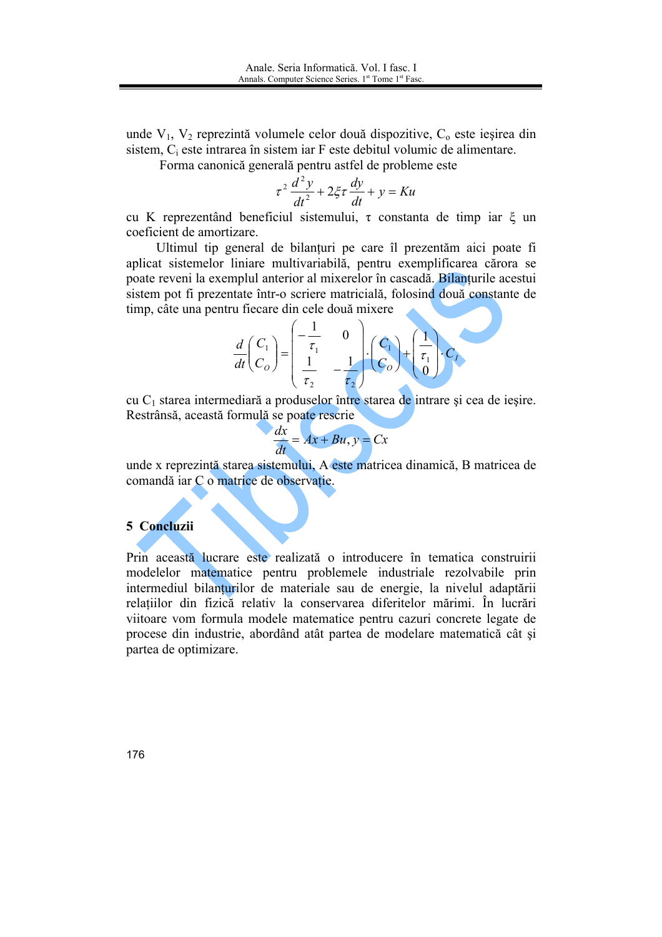unde  $V_1$ ,  $V_2$  reprezintă volumele celor două dispozitive,  $C_0$  este ieșirea din sistem,  $C_i$  este intrarea în sistem iar F este debitul volumic de alimentare.

Forma canonică generală pentru astfel de probleme este

$$
\tau^2 \frac{d^2 y}{dt^2} + 2\xi \tau \frac{dy}{dt} + y = Ku
$$

cu K reprezentând beneficiul sistemului,  $\tau$  constanta de timp iar  $\xi$  un coeficient de amortizare.

Ultimul tip general de bilanturi pe care îl prezentăm aici poate fi aplicat sistemelor liniare multivariabilă, pentru exemplificarea cărora se poate reveni la exemplul anterior al mixerelor în cascadă. Bilanțurile acestui sistem pot fi prezentate într-o scriere matricială, folosind două constante de timp, câte una pentru fiecare din cele două mixere

$$
\frac{d}{dt}\begin{pmatrix}C_1\\C_0\end{pmatrix} = \begin{pmatrix}-\frac{1}{\tau_1} & 0\\ \frac{1}{\tau_2} & -\frac{1}{\tau_2}\end{pmatrix} \cdot \begin{pmatrix}C_1\\C_0\end{pmatrix} + \begin{pmatrix}\frac{1}{\tau_1}\\0\end{pmatrix} \cdot C_I
$$

cu  $C_1$  starea intermediară a produselor între starea de intrare și cea de ieșire. Restrânsă, această formulă se poate rescrie

$$
\frac{dx}{dt} = Ax + Bu, y = Cx
$$

unde x reprezintă starea sistemului. A este matricea dinamică. B matricea de comandă iar C o matrice de observație.

#### 5 Concluzii

Prin această lucrare este realizată o introducere în tematica construirii modelelor matematice pentru problemele industriale rezolvabile prin intermediul bilanturilor de materiale sau de energie, la nivelul adaptării relatiilor din fizică relativ la conservarea diferitelor mărimi. În lucrări viitoare vom formula modele matematice pentru cazuri concrete legate de procese din industrie, abordând atât partea de modelare matematică cât și partea de optimizare.